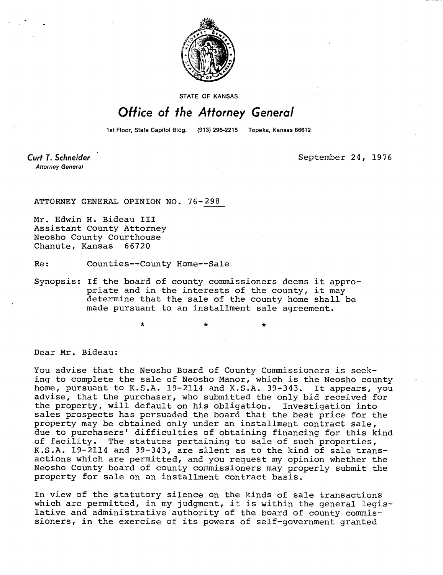

STATE OF KANSAS

## Office of the Attorney General

1st Floor, State Capitol Bldg. (913) 296-2215 Topeka, Kansas 66612

Curt T. Schneider **Attorney General** 

September 24, 1976

ATTORNEY GENERAL OPINION NO. 76-298

Mr. Edwin H. Bideau III Assistant County Attorney Neosho County Courthouse Chanute, Kansas 66720

Re: Counties--County Home--Sale

Synopsis: If the board of county commissioners deems it appropriate and in the interests of the county, it may determine that the sale of the county home shall be made pursuant to an installment sale agreement.

\*

Dear Mr. Bideau:

You advise that the Neosho Board of County Commissioners is seeking to complete the sale of Neosho Manor, which is the Neosho county home, pursuant to K.S.A. 19-2114 and K.S.A. 39-343. It appears, you advise, that the purchaser, who submitted the only bid received for the property, will default on his obligation. Investigation into sales prospects has persuaded the board that the best price for the property may be obtained only under an installment contract sale, due to purchasers' difficulties of obtaining financing for this kind of facility. The statutes pertaining to sale of such properties, K.S.A. 19-2114 and 39-343, are silent as to the kind of sale transactions which are permitted, and you request my opinion whether the Neosho County board of county commissioners may properly submit the property for sale on an installment contract basis.

In view of the statutory silence on the kinds of sale transactions which are permitted, in my judgment, it is within the general legislative and administrative authority of the board of county commissioners, in the exercise of its powers of self-government granted